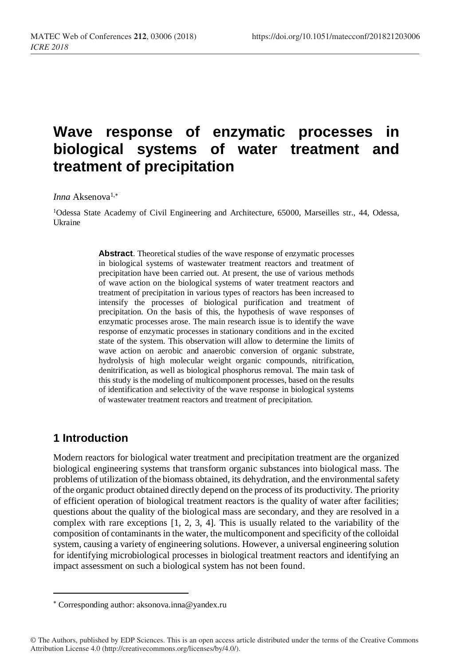# **Wave response of enzymatic processes in biological systems of water treatment and treatment of precipitation**

#### *Inna* Aksenova<sup>1,\*</sup>

<sup>1</sup>Odessa State Academy of Civil Engineering and Architecture, 65000, Marseilles str., 44, Odessa, Ukraine

> **Abstract**. Theoretical studies of the wave response of enzymatic processes in biological systems of wastewater treatment reactors and treatment of precipitation have been carried out. At present, the use of various methods of wave action on the biological systems of water treatment reactors and treatment of precipitation in various types of reactors has been increased to intensify the processes of biological purification and treatment of precipitation. On the basis of this, the hypothesis of wave responses of enzymatic processes arose. The main research issue is to identify the wave response of enzymatic processes in stationary conditions and in the excited state of the system. This observation will allow to determine the limits of wave action on aerobic and anaerobic conversion of organic substrate, hydrolysis of high molecular weight organic compounds, nitrification, denitrification, as well as biological phosphorus removal. The main task of this study is the modeling of multicomponent processes, based on the results of identification and selectivity of the wave response in biological systems of wastewater treatment reactors and treatment of precipitation.

## **1 Introduction**

 $\overline{a}$ 

Modern reactors for biological water treatment and precipitation treatment are the organized biological engineering systems that transform organic substances into biological mass. The problems of utilization of the biomass obtained, its dehydration, and the environmental safety of the organic product obtained directly depend on the process of its productivity. The priority of efficient operation of biological treatment reactors is the quality of water after facilities; questions about the quality of the biological mass are secondary, and they are resolved in a complex with rare exceptions [1, 2, 3, 4]. This is usually related to the variability of the composition of contaminants in the water, the multicomponent and specificity of the colloidal system, causing a variety of engineering solutions. However, a universal engineering solution for identifying microbiological processes in biological treatment reactors and identifying an impact assessment on such a biological system has not been found.

Corresponding author: aksonova.inna@yandex.ru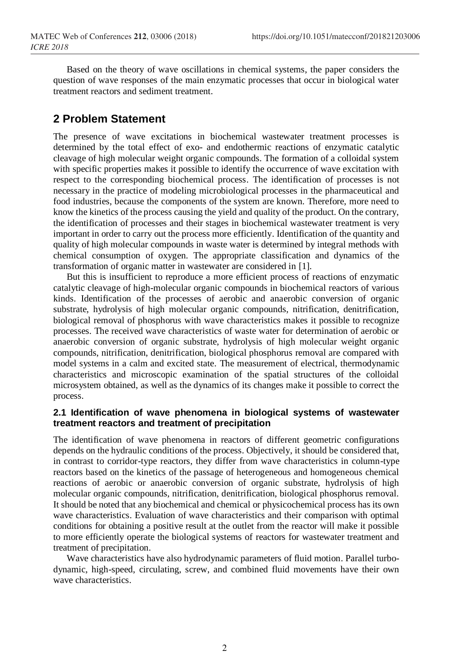Based on the theory of wave oscillations in chemical systems, the paper considers the question of wave responses of the main enzymatic processes that occur in biological water treatment reactors and sediment treatment.

# **2 Problem Statement**

The presence of wave excitations in biochemical wastewater treatment processes is determined by the total effect of exo- and endothermic reactions of enzymatic catalytic cleavage of high molecular weight organic compounds. The formation of a colloidal system with specific properties makes it possible to identify the occurrence of wave excitation with respect to the corresponding biochemical process. The identification of processes is not necessary in the practice of modeling microbiological processes in the pharmaceutical and food industries, because the components of the system are known. Therefore, more need to know the kinetics of the process causing the yield and quality of the product. On the contrary, the identification of processes and their stages in biochemical wastewater treatment is very important in order to carry out the process more efficiently. Identification of the quantity and quality of high molecular compounds in waste water is determined by integral methods with chemical consumption of oxygen. The appropriate classification and dynamics of the transformation of organic matter in wastewater are considered in [1].

But this is insufficient to reproduce a more efficient process of reactions of enzymatic catalytic cleavage of high-molecular organic compounds in biochemical reactors of various kinds. Identification of the processes of aerobic and anaerobic conversion of organic substrate, hydrolysis of high molecular organic compounds, nitrification, denitrification, biological removal of phosphorus with wave characteristics makes it possible to recognize processes. The received wave characteristics of waste water for determination of aerobic or anaerobic conversion of organic substrate, hydrolysis of high molecular weight organic compounds, nitrification, denitrification, biological phosphorus removal are compared with model systems in a calm and excited state. The measurement of electrical, thermodynamic characteristics and microscopic examination of the spatial structures of the colloidal microsystem obtained, as well as the dynamics of its changes make it possible to correct the process.

#### **2.1 Identification of wave phenomena in biological systems of wastewater treatment reactors and treatment of precipitation**

The identification of wave phenomena in reactors of different geometric configurations depends on the hydraulic conditions of the process. Objectively, it should be considered that, in contrast to corridor-type reactors, they differ from wave characteristics in column-type reactors based on the kinetics of the passage of heterogeneous and homogeneous chemical reactions of aerobic or anaerobic conversion of organic substrate, hydrolysis of high molecular organic compounds, nitrification, denitrification, biological phosphorus removal. It should be noted that any biochemical and chemical or physicochemical process has its own wave characteristics. Evaluation of wave characteristics and their comparison with optimal conditions for obtaining a positive result at the outlet from the reactor will make it possible to more efficiently operate the biological systems of reactors for wastewater treatment and treatment of precipitation.

Wave characteristics have also hydrodynamic parameters of fluid motion. Parallel turbodynamic, high-speed, circulating, screw, and combined fluid movements have their own wave characteristics.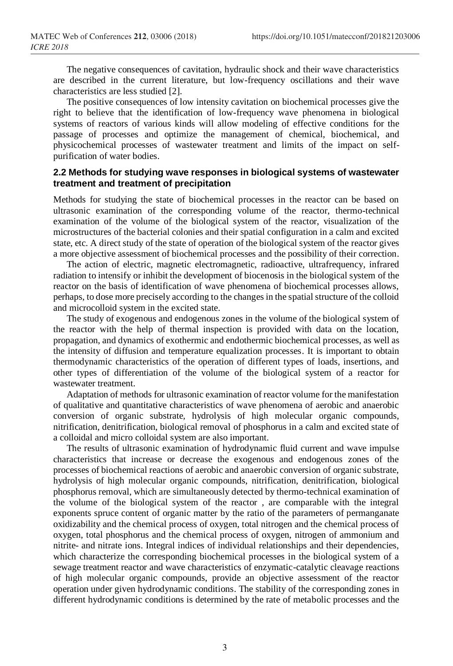The negative consequences of cavitation, hydraulic shock and their wave characteristics are described in the current literature, but low-frequency oscillations and their wave characteristics are less studied [2].

The positive consequences of low intensity cavitation on biochemical processes give the right to believe that the identification of low-frequency wave phenomena in biological systems of reactors of various kinds will allow modeling of effective conditions for the passage of processes and optimize the management of chemical, biochemical, and physicochemical processes of wastewater treatment and limits of the impact on selfpurification of water bodies.

#### **2.2 Methods for studying wave responses in biological systems of wastewater treatment and treatment of precipitation**

Methods for studying the state of biochemical processes in the reactor can be based on ultrasonic examination of the corresponding volume of the reactor, thermo-technical examination of the volume of the biological system of the reactor, visualization of the microstructures of the bacterial colonies and their spatial configuration in a calm and excited state, etc. A direct study of the state of operation of the biological system of the reactor gives a more objective assessment of biochemical processes and the possibility of their correction.

The action of electric, magnetic electromagnetic, radioactive, ultrafrequency, infrared radiation to intensify or inhibit the development of biocenosis in the biological system of the reactor on the basis of identification of wave phenomena of biochemical processes allows, perhaps, to dose more precisely according to the changes in the spatial structure of the colloid and microcolloid system in the excited state.

The study of exogenous and endogenous zones in the volume of the biological system of the reactor with the help of thermal inspection is provided with data on the location, propagation, and dynamics of exothermic and endothermic biochemical processes, as well as the intensity of diffusion and temperature equalization processes. It is important to obtain thermodynamic characteristics of the operation of different types of loads, insertions, and other types of differentiation of the volume of the biological system of a reactor for wastewater treatment.

Adaptation of methods for ultrasonic examination of reactor volume for the manifestation of qualitative and quantitative characteristics of wave phenomena of aerobic and anaerobic conversion of organic substrate, hydrolysis of high molecular organic compounds, nitrification, denitrification, biological removal of phosphorus in a calm and excited state of a colloidal and micro colloidal system are also important.

The results of ultrasonic examination of hydrodynamic fluid current and wave impulse characteristics that increase or decrease the exogenous and endogenous zones of the processes of biochemical reactions of aerobic and anaerobic conversion of organic substrate, hydrolysis of high molecular organic compounds, nitrification, denitrification, biological phosphorus removal, which are simultaneously detected by thermo-technical examination of the volume of the biological system of the reactor , are comparable with the integral exponents spruce content of organic matter by the ratio of the parameters of permanganate oxidizability and the chemical process of oxygen, total nitrogen and the chemical process of oxygen, total phosphorus and the chemical process of oxygen, nitrogen of ammonium and nitrite- and nitrate ions. Integral indices of individual relationships and their dependencies, which characterize the corresponding biochemical processes in the biological system of a sewage treatment reactor and wave characteristics of enzymatic-catalytic cleavage reactions of high molecular organic compounds, provide an objective assessment of the reactor operation under given hydrodynamic conditions. The stability of the corresponding zones in different hydrodynamic conditions is determined by the rate of metabolic processes and the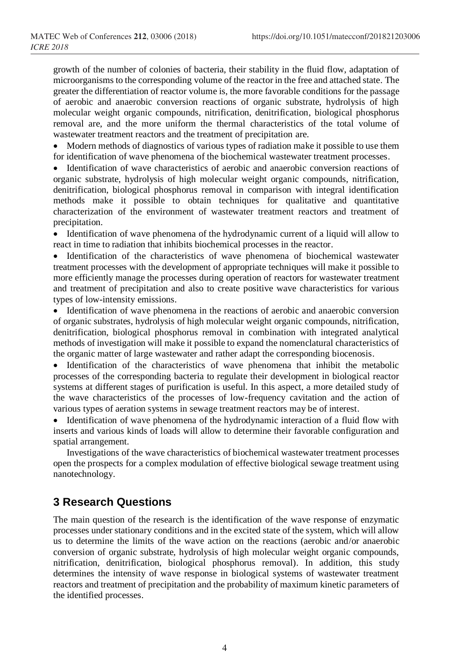growth of the number of colonies of bacteria, their stability in the fluid flow, adaptation of microorganisms to the corresponding volume of the reactor in the free and attached state. The greater the differentiation of reactor volume is, the more favorable conditions for the passage of aerobic and anaerobic conversion reactions of organic substrate, hydrolysis of high molecular weight organic compounds, nitrification, denitrification, biological phosphorus removal are, and the more uniform the thermal characteristics of the total volume of wastewater treatment reactors and the treatment of precipitation are.

• Modern methods of diagnostics of various types of radiation make it possible to use them for identification of wave phenomena of the biochemical wastewater treatment processes.

• Identification of wave characteristics of aerobic and anaerobic conversion reactions of organic substrate, hydrolysis of high molecular weight organic compounds, nitrification, denitrification, biological phosphorus removal in comparison with integral identification methods make it possible to obtain techniques for qualitative and quantitative characterization of the environment of wastewater treatment reactors and treatment of precipitation.

• Identification of wave phenomena of the hydrodynamic current of a liquid will allow to react in time to radiation that inhibits biochemical processes in the reactor.

• Identification of the characteristics of wave phenomena of biochemical wastewater treatment processes with the development of appropriate techniques will make it possible to more efficiently manage the processes during operation of reactors for wastewater treatment and treatment of precipitation and also to create positive wave characteristics for various types of low-intensity emissions.

• Identification of wave phenomena in the reactions of aerobic and anaerobic conversion of organic substrates, hydrolysis of high molecular weight organic compounds, nitrification, denitrification, biological phosphorus removal in combination with integrated analytical methods of investigation will make it possible to expand the nomenclatural characteristics of the organic matter of large wastewater and rather adapt the corresponding biocenosis.

• Identification of the characteristics of wave phenomena that inhibit the metabolic processes of the corresponding bacteria to regulate their development in biological reactor systems at different stages of purification is useful. In this aspect, a more detailed study of the wave characteristics of the processes of low-frequency cavitation and the action of various types of aeration systems in sewage treatment reactors may be of interest.

• Identification of wave phenomena of the hydrodynamic interaction of a fluid flow with inserts and various kinds of loads will allow to determine their favorable configuration and spatial arrangement.

Investigations of the wave characteristics of biochemical wastewater treatment processes open the prospects for a complex modulation of effective biological sewage treatment using nanotechnology.

# **3 Research Questions**

The main question of the research is the identification of the wave response of enzymatic processes under stationary conditions and in the excited state of the system, which will allow us to determine the limits of the wave action on the reactions (aerobic and/or anaerobic conversion of organic substrate, hydrolysis of high molecular weight organic compounds, nitrification, denitrification, biological phosphorus removal). In addition, this study determines the intensity of wave response in biological systems of wastewater treatment reactors and treatment of precipitation and the probability of maximum kinetic parameters of the identified processes.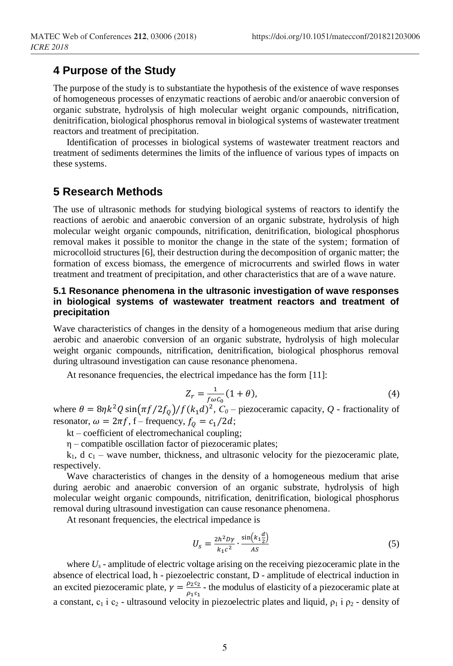## **4 Purpose of the Study**

The purpose of the study is to substantiate the hypothesis of the existence of wave responses of homogeneous processes of enzymatic reactions of aerobic and/or anaerobic conversion of organic substrate, hydrolysis of high molecular weight organic compounds, nitrification, denitrification, biological phosphorus removal in biological systems of wastewater treatment reactors and treatment of precipitation.

Identification of processes in biological systems of wastewater treatment reactors and treatment of sediments determines the limits of the influence of various types of impacts on these systems.

### **5 Research Methods**

The use of ultrasonic methods for studying biological systems of reactors to identify the reactions of aerobic and anaerobic conversion of an organic substrate, hydrolysis of high molecular weight organic compounds, nitrification, denitrification, biological phosphorus removal makes it possible to monitor the change in the state of the system; formation of microcolloid structures [6], their destruction during the decomposition of organic matter; the formation of excess biomass, the emergence of microcurrents and swirled flows in water treatment and treatment of precipitation, and other characteristics that are of a wave nature.

#### **5.1 Resonance phenomena in the ultrasonic investigation of wave responses in biological systems of wastewater treatment reactors and treatment of precipitation**

Wave characteristics of changes in the density of a homogeneous medium that arise during aerobic and anaerobic conversion of an organic substrate, hydrolysis of high molecular weight organic compounds, nitrification, denitrification, biological phosphorus removal during ultrasound investigation can cause resonance phenomena.

At resonance frequencies, the electrical impedance has the form [11]:

$$
Z_r = \frac{1}{f\omega c_0} (1 + \theta),\tag{4}
$$

where  $\theta = 8\eta k^2 Q \sin(\pi f/2f_0)/f(k_1 d)^2$ ,  $C_0$  – piezoceramic capacity, Q - fractionality of resonator,  $\omega = 2\pi f$ , f – frequency,  $f_0 = c_1/2d$ ;

kt – coefficient of electromechanical coupling;

η – compatible oscillation factor of piezoceramic plates;

 $k_1$ , d  $c_1$  – wave number, thickness, and ultrasonic velocity for the piezoceramic plate, respectively.

Wave characteristics of changes in the density of a homogeneous medium that arise during aerobic and anaerobic conversion of an organic substrate, hydrolysis of high molecular weight organic compounds, nitrification, denitrification, biological phosphorus removal during ultrasound investigation can cause resonance phenomena.

At resonant frequencies, the electrical impedance is

$$
U_s = \frac{2h^2 D\gamma}{k_1 c^2} \cdot \frac{\sin\left(k_1 \frac{d}{2}\right)}{AS} \tag{5}
$$

where  $U_s$  - amplitude of electric voltage arising on the receiving piezoceramic plate in the absence of electrical load, h - piezoelectric constant, D - amplitude of electrical induction in an excited piezoceramic plate,  $\gamma = \frac{\rho_2 c_2}{r}$  $\frac{\mu_2 c_2}{\rho_1 c_1}$  - the modulus of elasticity of a piezoceramic plate at a constant,  $c_1$  i  $c_2$  - ultrasound velocity in piezoelectric plates and liquid,  $\rho_1$  i  $\rho_2$  - density of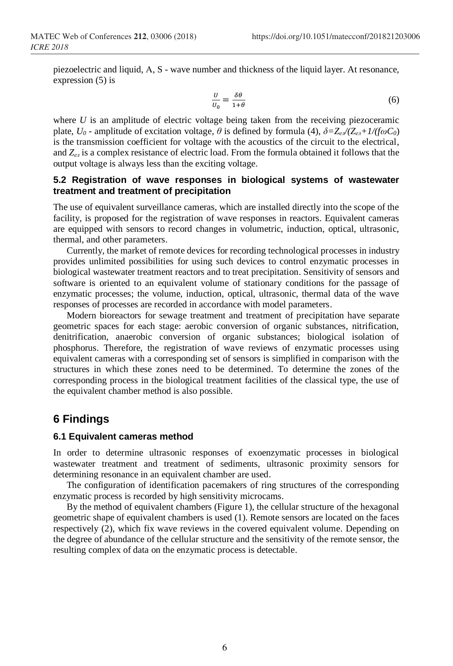piezoelectric and liquid, А, S - wave number and thickness of the liquid layer. At resonance, expression (5) is

$$
\frac{U}{U_0} = \frac{\delta \theta}{1 + \theta} \tag{6}
$$

where *U* is an amplitude of electric voltage being taken from the receiving piezoceramic plate,  $U_0$  - amplitude of excitation voltage,  $\theta$  is defined by formula (4),  $\delta = Z_{e\ell}/(Z_{e\ell} + 1/(f\omega C_0))$ is the transmission coefficient for voltage with the acoustics of the circuit to the electrical, and *Zел* is a complex resistance of electric load. From the formula obtained it follows that the output voltage is always less than the exciting voltage.

#### **5.2 Registration of wave responses in biological systems of wastewater treatment and treatment of precipitation**

The use of equivalent surveillance cameras, which are installed directly into the scope of the facility, is proposed for the registration of wave responses in reactors. Equivalent cameras are equipped with sensors to record changes in volumetric, induction, optical, ultrasonic, thermal, and other parameters.

Currently, the market of remote devices for recording technological processes in industry provides unlimited possibilities for using such devices to control enzymatic processes in biological wastewater treatment reactors and to treat precipitation. Sensitivity of sensors and software is oriented to an equivalent volume of stationary conditions for the passage of enzymatic processes; the volume, induction, optical, ultrasonic, thermal data of the wave responses of processes are recorded in accordance with model parameters.

Modern bioreactors for sewage treatment and treatment of precipitation have separate geometric spaces for each stage: aerobic conversion of organic substances, nitrification, denitrification, anaerobic conversion of organic substances; biological isolation of phosphorus. Therefore, the registration of wave reviews of enzymatic processes using equivalent cameras with a corresponding set of sensors is simplified in comparison with the structures in which these zones need to be determined. To determine the zones of the corresponding process in the biological treatment facilities of the classical type, the use of the equivalent chamber method is also possible.

## **6 Findings**

#### **6.1 Equivalent cameras method**

In order to determine ultrasonic responses of exoenzymatic processes in biological wastewater treatment and treatment of sediments, ultrasonic proximity sensors for determining resonance in an equivalent chamber are used.

The configuration of identification pacemakers of ring structures of the corresponding enzymatic process is recorded by high sensitivity microcams.

By the method of equivalent chambers (Figure 1), the cellular structure of the hexagonal geometric shape of equivalent chambers is used (1). Remote sensors are located on the faces respectively (2), which fix wave reviews in the covered equivalent volume. Depending on the degree of abundance of the cellular structure and the sensitivity of the remote sensor, the resulting complex of data on the enzymatic process is detectable.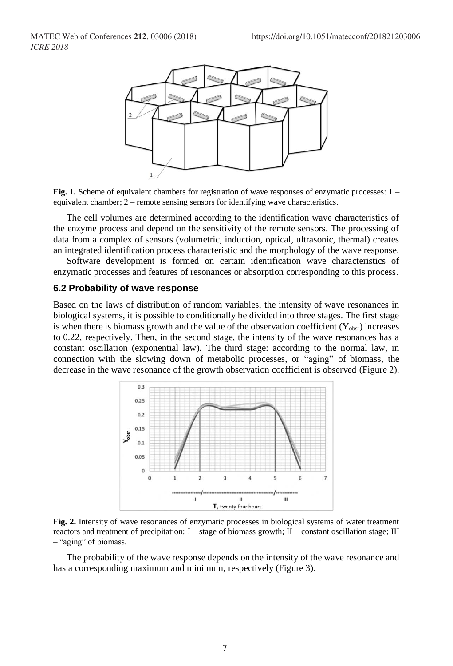

**Fig. 1.** Scheme of equivalent chambers for registration of wave responses of enzymatic processes:  $1$ equivalent chamber; 2 – remote sensing sensors for identifying wave characteristics.

The cell volumes are determined according to the identification wave characteristics of the enzyme process and depend on the sensitivity of the remote sensors. The processing of data from a complex of sensors (volumetric, induction, optical, ultrasonic, thermal) creates an integrated identification process characteristic and the morphology of the wave response.

Software development is formed on certain identification wave characteristics of enzymatic processes and features of resonances or absorption corresponding to this process.

#### **6.2 Probability of wave response**

Based on the laws of distribution of random variables, the intensity of wave resonances in biological systems, it is possible to conditionally be divided into three stages. The first stage is when there is biomass growth and the value of the observation coefficient  $(Y_{\text{obsr}})$  increases to 0.22, respectively. Then, in the second stage, the intensity of the wave resonances has a constant oscillation (exponential law). The third stage: according to the normal law, in connection with the slowing down of metabolic processes, or "aging" of biomass, the decrease in the wave resonance of the growth observation coefficient is observed (Figure 2).



**Fig. 2.** Intensity of wave resonances of enzymatic processes in biological systems of water treatment reactors and treatment of precipitation:  $I$  – stage of biomass growth;  $II$  – constant oscillation stage; III – "aging" of biomass.

The probability of the wave response depends on the intensity of the wave resonance and has a corresponding maximum and minimum, respectively (Figure 3).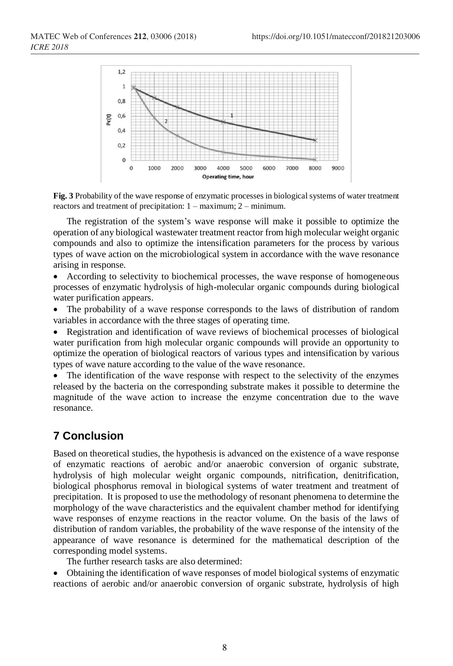

**Fig. 3** Probability of the wave response of enzymatic processes in biological systems of water treatment reactors and treatment of precipitation: 1 – maximum; 2 – minimum.

The registration of the system's wave response will make it possible to optimize the operation of any biological wastewater treatment reactor from high molecular weight organic compounds and also to optimize the intensification parameters for the process by various types of wave action on the microbiological system in accordance with the wave resonance arising in response.

• According to selectivity to biochemical processes, the wave response of homogeneous processes of enzymatic hydrolysis of high-molecular organic compounds during biological water purification appears.

• The probability of a wave response corresponds to the laws of distribution of random variables in accordance with the three stages of operating time.

• Registration and identification of wave reviews of biochemical processes of biological water purification from high molecular organic compounds will provide an opportunity to optimize the operation of biological reactors of various types and intensification by various types of wave nature according to the value of the wave resonance.

• The identification of the wave response with respect to the selectivity of the enzymes released by the bacteria on the corresponding substrate makes it possible to determine the magnitude of the wave action to increase the enzyme concentration due to the wave resonance.

# **7 Conclusion**

Based on theoretical studies, the hypothesis is advanced on the existence of a wave response of enzymatic reactions of aerobic and/or anaerobic conversion of organic substrate, hydrolysis of high molecular weight organic compounds, nitrification, denitrification, biological phosphorus removal in biological systems of water treatment and treatment of precipitation. It is proposed to use the methodology of resonant phenomena to determine the morphology of the wave characteristics and the equivalent chamber method for identifying wave responses of enzyme reactions in the reactor volume. On the basis of the laws of distribution of random variables, the probability of the wave response of the intensity of the appearance of wave resonance is determined for the mathematical description of the corresponding model systems.

The further research tasks are also determined:

• Obtaining the identification of wave responses of model biological systems of enzymatic reactions of aerobic and/or anaerobic conversion of organic substrate, hydrolysis of high